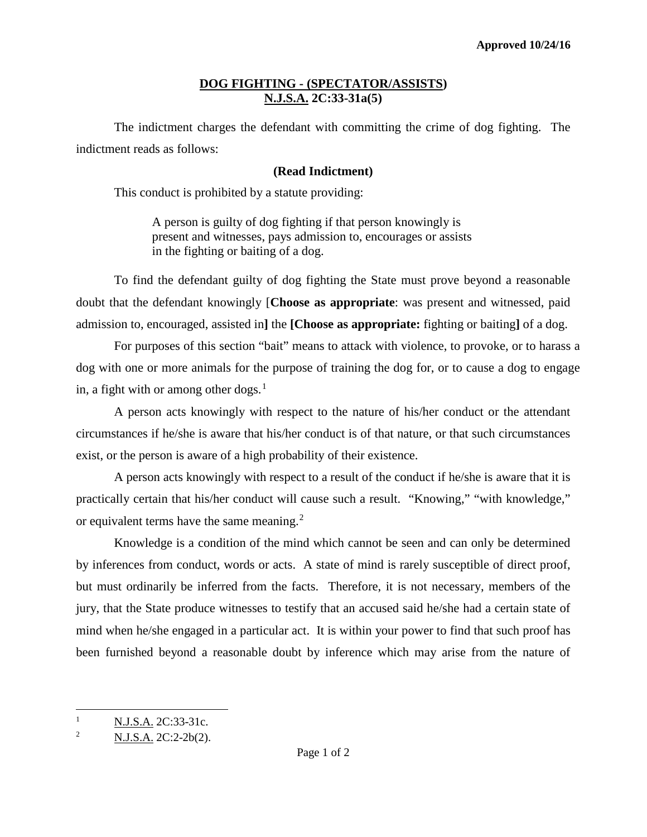## **DOG FIGHTING - (SPECTATOR/ASSISTS) N.J.S.A. 2C:33-31a(5)**

The indictment charges the defendant with committing the crime of dog fighting. The indictment reads as follows:

## **(Read Indictment)**

This conduct is prohibited by a statute providing:

 A person is guilty of dog fighting if that person knowingly is present and witnesses, pays admission to, encourages or assists in the fighting or baiting of a dog.

To find the defendant guilty of dog fighting the State must prove beyond a reasonable doubt that the defendant knowingly [**Choose as appropriate**: was present and witnessed, paid admission to, encouraged, assisted in**]** the **[Choose as appropriate:** fighting or baiting**]** of a dog.

For purposes of this section "bait" means to attack with violence, to provoke, or to harass a dog with one or more animals for the purpose of training the dog for, or to cause a dog to engage in, a fight with or among other dogs. $<sup>1</sup>$  $<sup>1</sup>$  $<sup>1</sup>$ </sup>

A person acts knowingly with respect to the nature of his/her conduct or the attendant circumstances if he/she is aware that his/her conduct is of that nature, or that such circumstances exist, or the person is aware of a high probability of their existence.

A person acts knowingly with respect to a result of the conduct if he/she is aware that it is practically certain that his/her conduct will cause such a result. "Knowing," "with knowledge," or equivalent terms have the same meaning.<sup>[2](#page-0-1)</sup>

Knowledge is a condition of the mind which cannot be seen and can only be determined by inferences from conduct, words or acts. A state of mind is rarely susceptible of direct proof, but must ordinarily be inferred from the facts. Therefore, it is not necessary, members of the jury, that the State produce witnesses to testify that an accused said he/she had a certain state of mind when he/she engaged in a particular act. It is within your power to find that such proof has been furnished beyond a reasonable doubt by inference which may arise from the nature of

 $\overline{\phantom{a}}$ 

<span id="page-0-0"></span><sup>&</sup>lt;sup>1</sup> N.J.S.A. 2C:33-31c.

<span id="page-0-1"></span><sup>&</sup>lt;sup>2</sup> N.J.S.A. 2C:2-2b(2).